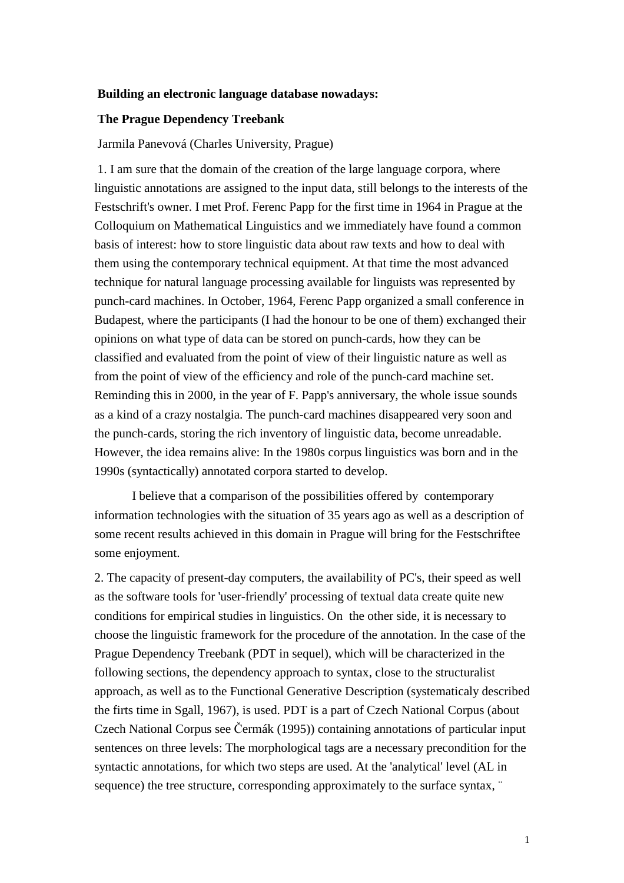#### **Building an electronic language database nowadays:**

#### **The Prague Dependency Treebank**

Jarmila Panevová (Charles University, Prague)

 1. I am sure that the domain of the creation of the large language corpora, where linguistic annotations are assigned to the input data, still belongs to the interests of the Festschrift's owner. I met Prof. Ferenc Papp for the first time in 1964 in Prague at the Colloquium on Mathematical Linguistics and we immediately have found a common basis of interest: how to store linguistic data about raw texts and how to deal with them using the contemporary technical equipment. At that time the most advanced technique for natural language processing available for linguists was represented by punch-card machines. In October, 1964, Ferenc Papp organized a small conference in Budapest, where the participants (I had the honour to be one of them) exchanged their opinions on what type of data can be stored on punch-cards, how they can be classified and evaluated from the point of view of their linguistic nature as well as from the point of view of the efficiency and role of the punch-card machine set. Reminding this in 2000, in the year of F. Papp's anniversary, the whole issue sounds as a kind of a crazy nostalgia. The punch-card machines disappeared very soon and the punch-cards, storing the rich inventory of linguistic data, become unreadable. However, the idea remains alive: In the 1980s corpus linguistics was born and in the 1990s (syntactically) annotated corpora started to develop.

I believe that a comparison of the possibilities offered by contemporary information technologies with the situation of 35 years ago as well as a description of some recent results achieved in this domain in Prague will bring for the Festschriftee some enjoyment.

2. The capacity of present-day computers, the availability of PC's, their speed as well as the software tools for 'user-friendly' processing of textual data create quite new conditions for empirical studies in linguistics. On the other side, it is necessary to choose the linguistic framework for the procedure of the annotation. In the case of the Prague Dependency Treebank (PDT in sequel), which will be characterized in the following sections, the dependency approach to syntax, close to the structuralist approach, as well as to the Functional Generative Description (systematicaly described the firts time in Sgall, 1967), is used. PDT is a part of Czech National Corpus (about Czech National Corpus see Čermák (1995)) containing annotations of particular input sentences on three levels: The morphological tags are a necessary precondition for the syntactic annotations, for which two steps are used. At the 'analytical' level (AL in sequence) the tree structure, corresponding approximately to the surface syntax, "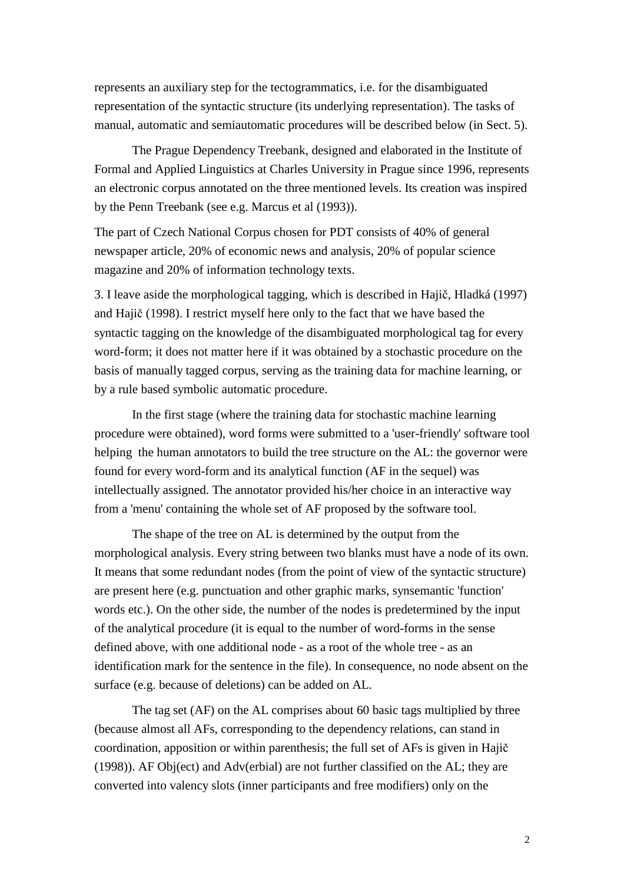represents an auxiliary step for the tectogrammatics, i.e. for the disambiguated representation of the syntactic structure (its underlying representation). The tasks of manual, automatic and semiautomatic procedures will be described below (in Sect. 5).

The Prague Dependency Treebank, designed and elaborated in the Institute of Formal and Applied Linguistics at Charles University in Prague since 1996, represents an electronic corpus annotated on the three mentioned levels. Its creation was inspired by the Penn Treebank (see e.g. Marcus et al (1993)).

The part of Czech National Corpus chosen for PDT consists of 40% of general newspaper article, 20% of economic news and analysis, 20% of popular science magazine and 20% of information technology texts.

3. I leave aside the morphological tagging, which is described in Hajič, Hladká (1997) and Hajič (1998). I restrict myself here only to the fact that we have based the syntactic tagging on the knowledge of the disambiguated morphological tag for every word-form; it does not matter here if it was obtained by a stochastic procedure on the basis of manually tagged corpus, serving as the training data for machine learning, or by a rule based symbolic automatic procedure.

In the first stage (where the training data for stochastic machine learning procedure were obtained), word forms were submitted to a 'user-friendly' software tool helping the human annotators to build the tree structure on the AL: the governor were found for every word-form and its analytical function (AF in the sequel) was intellectually assigned. The annotator provided his/her choice in an interactive way from a 'menu' containing the whole set of AF proposed by the software tool.

The shape of the tree on AL is determined by the output from the morphological analysis. Every string between two blanks must have a node of its own. It means that some redundant nodes (from the point of view of the syntactic structure) are present here (e.g. punctuation and other graphic marks, synsemantic 'function' words etc.). On the other side, the number of the nodes is predetermined by the input of the analytical procedure (it is equal to the number of word-forms in the sense defined above, with one additional node - as a root of the whole tree - as an identification mark for the sentence in the file). In consequence, no node absent on the surface (e.g. because of deletions) can be added on AL.

The tag set (AF) on the AL comprises about 60 basic tags multiplied by three (because almost all AFs, corresponding to the dependency relations, can stand in coordination, apposition or within parenthesis; the full set of AFs is given in Hajič (1998)). AF Obj(ect) and Adv(erbial) are not further classified on the AL; they are converted into valency slots (inner participants and free modifiers) only on the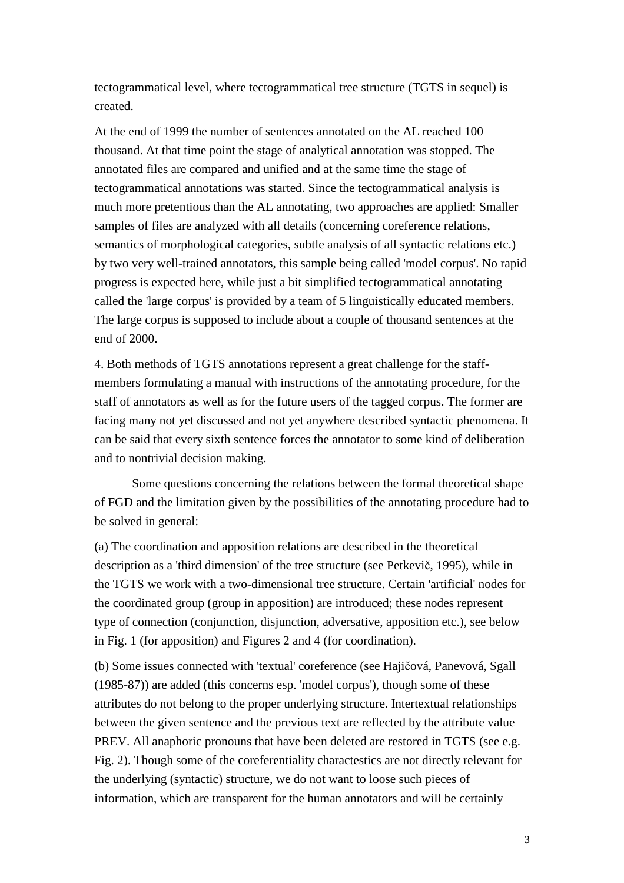tectogrammatical level, where tectogrammatical tree structure (TGTS in sequel) is created.

At the end of 1999 the number of sentences annotated on the AL reached 100 thousand. At that time point the stage of analytical annotation was stopped. The annotated files are compared and unified and at the same time the stage of tectogrammatical annotations was started. Since the tectogrammatical analysis is much more pretentious than the AL annotating, two approaches are applied: Smaller samples of files are analyzed with all details (concerning coreference relations, semantics of morphological categories, subtle analysis of all syntactic relations etc.) by two very well-trained annotators, this sample being called 'model corpus'. No rapid progress is expected here, while just a bit simplified tectogrammatical annotating called the 'large corpus' is provided by a team of 5 linguistically educated members. The large corpus is supposed to include about a couple of thousand sentences at the end of 2000.

4. Both methods of TGTS annotations represent a great challenge for the staffmembers formulating a manual with instructions of the annotating procedure, for the staff of annotators as well as for the future users of the tagged corpus. The former are facing many not yet discussed and not yet anywhere described syntactic phenomena. It can be said that every sixth sentence forces the annotator to some kind of deliberation and to nontrivial decision making.

Some questions concerning the relations between the formal theoretical shape of FGD and the limitation given by the possibilities of the annotating procedure had to be solved in general:

(a) The coordination and apposition relations are described in the theoretical description as a 'third dimension' of the tree structure (see Petkevič, 1995), while in the TGTS we work with a two-dimensional tree structure. Certain 'artificial' nodes for the coordinated group (group in apposition) are introduced; these nodes represent type of connection (conjunction, disjunction, adversative, apposition etc.), see below in Fig. 1 (for apposition) and Figures 2 and 4 (for coordination).

(b) Some issues connected with 'textual' coreference (see Hajičová, Panevová, Sgall (1985-87)) are added (this concerns esp. 'model corpus'), though some of these attributes do not belong to the proper underlying structure. Intertextual relationships between the given sentence and the previous text are reflected by the attribute value PREV. All anaphoric pronouns that have been deleted are restored in TGTS (see e.g. Fig. 2). Though some of the coreferentiality charactestics are not directly relevant for the underlying (syntactic) structure, we do not want to loose such pieces of information, which are transparent for the human annotators and will be certainly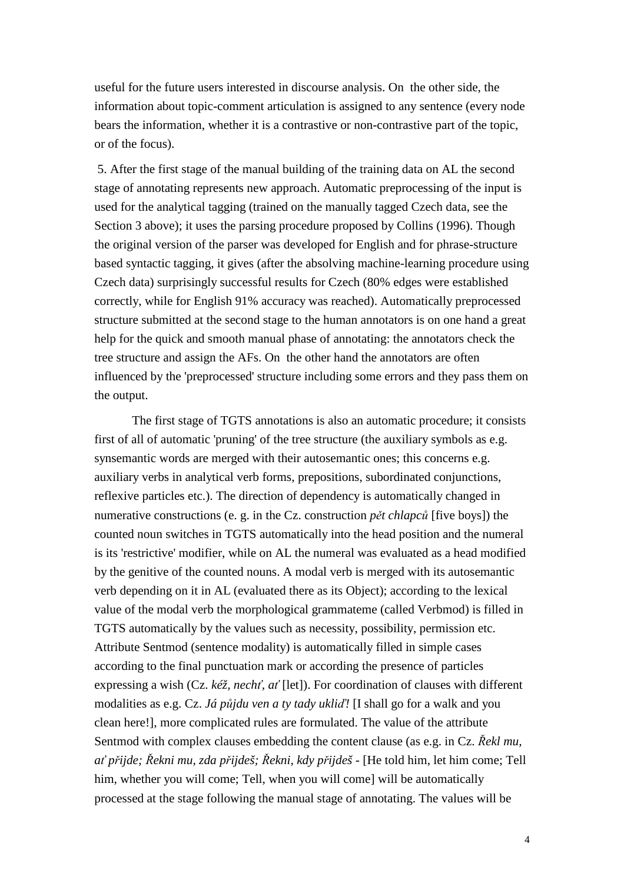useful for the future users interested in discourse analysis. On the other side, the information about topic-comment articulation is assigned to any sentence (every node bears the information, whether it is a contrastive or non-contrastive part of the topic, or of the focus).

 5. After the first stage of the manual building of the training data on AL the second stage of annotating represents new approach. Automatic preprocessing of the input is used for the analytical tagging (trained on the manually tagged Czech data, see the Section 3 above); it uses the parsing procedure proposed by Collins (1996). Though the original version of the parser was developed for English and for phrase-structure based syntactic tagging, it gives (after the absolving machine-learning procedure using Czech data) surprisingly successful results for Czech (80% edges were established correctly, while for English 91% accuracy was reached). Automatically preprocessed structure submitted at the second stage to the human annotators is on one hand a great help for the quick and smooth manual phase of annotating: the annotators check the tree structure and assign the AFs. On the other hand the annotators are often influenced by the 'preprocessed' structure including some errors and they pass them on the output.

The first stage of TGTS annotations is also an automatic procedure; it consists first of all of automatic 'pruning' of the tree structure (the auxiliary symbols as e.g. synsemantic words are merged with their autosemantic ones; this concerns e.g. auxiliary verbs in analytical verb forms, prepositions, subordinated conjunctions, reflexive particles etc.). The direction of dependency is automatically changed in numerative constructions (e. g. in the Cz. construction *p*ě*t chlapc*ů [five boys]) the counted noun switches in TGTS automatically into the head position and the numeral is its 'restrictive' modifier, while on AL the numeral was evaluated as a head modified by the genitive of the counted nouns. A modal verb is merged with its autosemantic verb depending on it in AL (evaluated there as its Object); according to the lexical value of the modal verb the morphological grammateme (called Verbmod) is filled in TGTS automatically by the values such as necessity, possibility, permission etc. Attribute Sentmod (sentence modality) is automatically filled in simple cases according to the final punctuation mark or according the presence of particles expressing a wish (Cz. *kéž, nech*ť*, a*ť [let]). For coordination of clauses with different modalities as e.g. Cz. *Já p*ů*jdu ven a ty tady ukli*ď*!* [I shall go for a walk and you clean here!], more complicated rules are formulated. The value of the attribute Sentmod with complex clauses embedding the content clause (as e.g. in Cz. Ř*ekl mu, a*ť *p*ř*ijde;* Ř*ekni mu, zda p*ř*ijdeš;* Ř*ekni, kdy p*ř*ijdeš -* [He told him, let him come; Tell him, whether you will come; Tell, when you will come] will be automatically processed at the stage following the manual stage of annotating. The values will be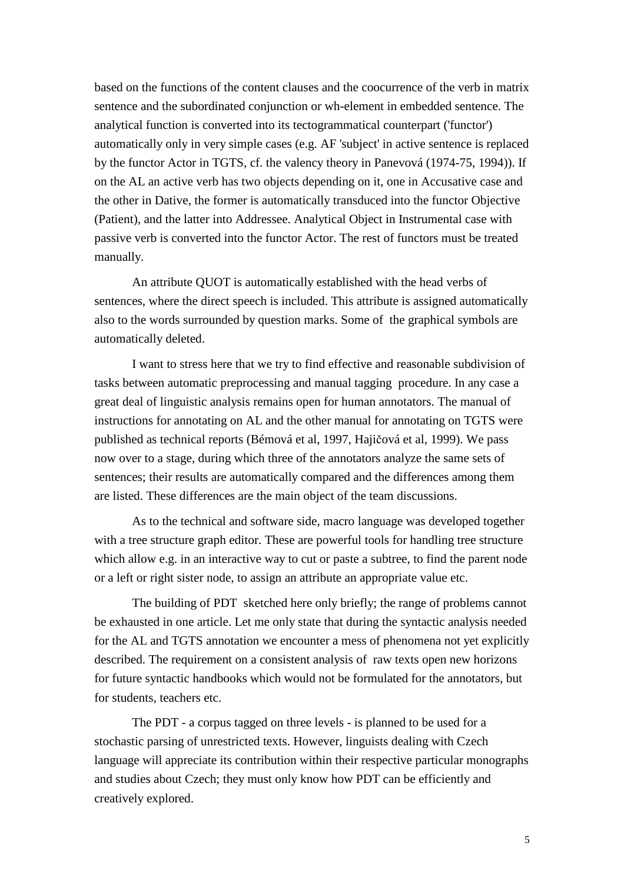based on the functions of the content clauses and the coocurrence of the verb in matrix sentence and the subordinated conjunction or wh-element in embedded sentence. The analytical function is converted into its tectogrammatical counterpart ('functor') automatically only in very simple cases (e.g. AF 'subject' in active sentence is replaced by the functor Actor in TGTS, cf. the valency theory in Panevová (1974-75, 1994)). If on the AL an active verb has two objects depending on it, one in Accusative case and the other in Dative, the former is automatically transduced into the functor Objective (Patient), and the latter into Addressee. Analytical Object in Instrumental case with passive verb is converted into the functor Actor. The rest of functors must be treated manually.

An attribute QUOT is automatically established with the head verbs of sentences, where the direct speech is included. This attribute is assigned automatically also to the words surrounded by question marks. Some of the graphical symbols are automatically deleted.

I want to stress here that we try to find effective and reasonable subdivision of tasks between automatic preprocessing and manual tagging procedure. In any case a great deal of linguistic analysis remains open for human annotators. The manual of instructions for annotating on AL and the other manual for annotating on TGTS were published as technical reports (Bémová et al, 1997, Hajičová et al, 1999). We pass now over to a stage, during which three of the annotators analyze the same sets of sentences; their results are automatically compared and the differences among them are listed. These differences are the main object of the team discussions.

As to the technical and software side, macro language was developed together with a tree structure graph editor. These are powerful tools for handling tree structure which allow e.g. in an interactive way to cut or paste a subtree, to find the parent node or a left or right sister node, to assign an attribute an appropriate value etc.

The building of PDT sketched here only briefly; the range of problems cannot be exhausted in one article. Let me only state that during the syntactic analysis needed for the AL and TGTS annotation we encounter a mess of phenomena not yet explicitly described. The requirement on a consistent analysis of raw texts open new horizons for future syntactic handbooks which would not be formulated for the annotators, but for students, teachers etc.

The PDT - a corpus tagged on three levels - is planned to be used for a stochastic parsing of unrestricted texts. However, linguists dealing with Czech language will appreciate its contribution within their respective particular monographs and studies about Czech; they must only know how PDT can be efficiently and creatively explored.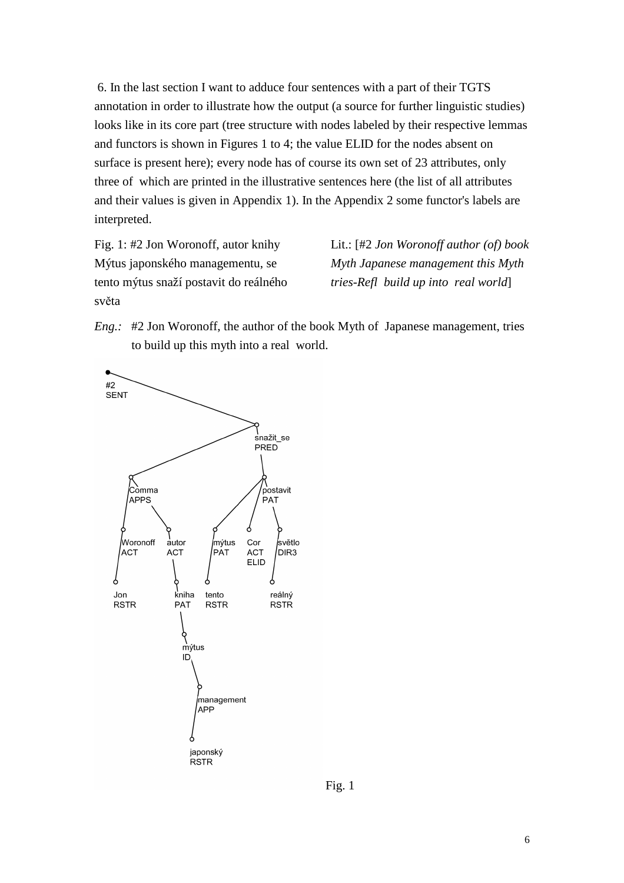6. In the last section I want to adduce four sentences with a part of their TGTS annotation in order to illustrate how the output (a source for further linguistic studies) looks like in its core part (tree structure with nodes labeled by their respective lemmas and functors is shown in Figures 1 to 4; the value ELID for the nodes absent on surface is present here); every node has of course its own set of 23 attributes, only three of which are printed in the illustrative sentences here (the list of all attributes and their values is given in Appendix 1). In the Appendix 2 some functor's labels are interpreted.

Fig. 1: #2 Jon Woronoff, autor knihy Mýtus japonského managementu, se tento mýtus snaží postavit do reálného světa

Lit.: [#2 *Jon Woronoff author (of) book Myth Japanese management this Myth tries-Refl build up into real world*]

*Eng.:* #2 Jon Woronoff, the author of the book Myth of Japanese management, tries to build up this myth into a real world.



Fig. 1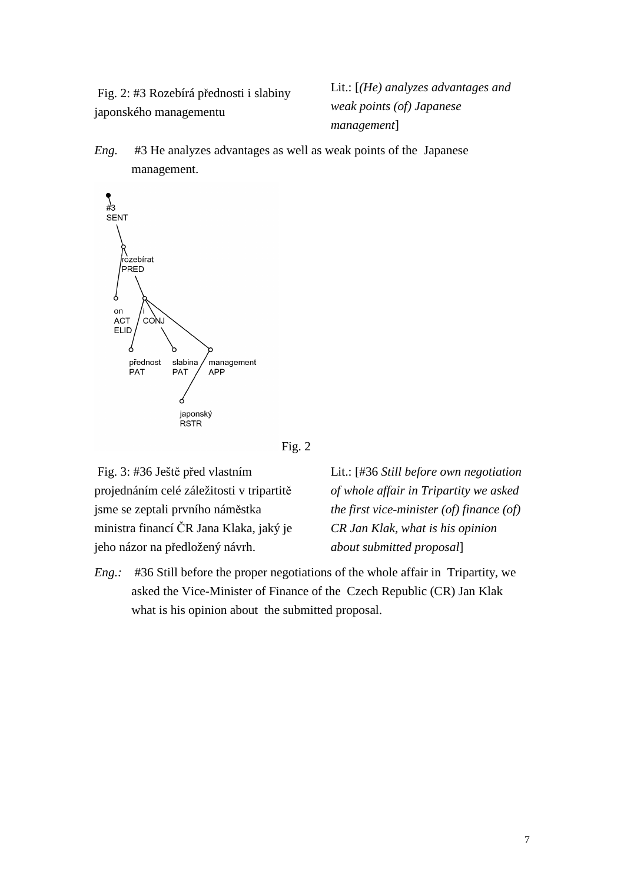Fig. 2: #3 Rozebírá přednosti i slabiny japonského managementu

Lit.: [*(He) analyzes advantages and weak points (of) Japanese management*]

*Eng.* #3 He analyzes advantages as well as weak points of the Japanese management.





 Fig. 3: #36 Ještě před vlastním projednáním celé záležitosti v tripartitě jsme se zeptali prvního náměstka ministra financí ČR Jana Klaka, jaký je jeho názor na předložený návrh.

Lit.: [#36 *Still before own negotiation of whole affair in Tripartity we asked the first vice-minister (of) finance (of) CR Jan Klak, what is his opinion about submitted proposal*]

*Eng.:* #36 Still before the proper negotiations of the whole affair in Tripartity, we asked the Vice-Minister of Finance of the Czech Republic (CR) Jan Klak what is his opinion about the submitted proposal.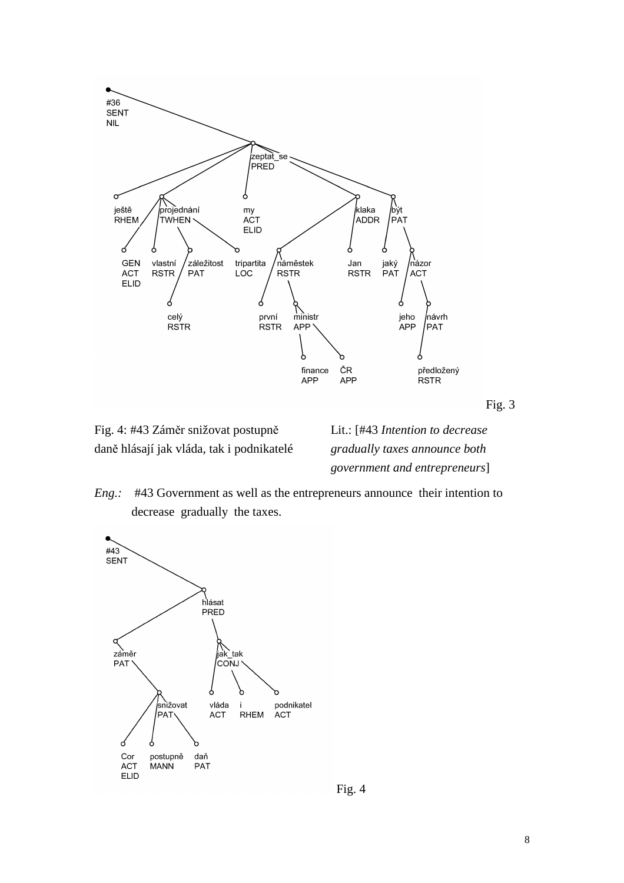

Fig. 3

Fig. 4: #43 Záměr snižovat postupně daně hlásají jak vláda, tak i podnikatelé Lit.: [#43 *Intention to decrease gradually taxes announce both government and entrepreneurs*]





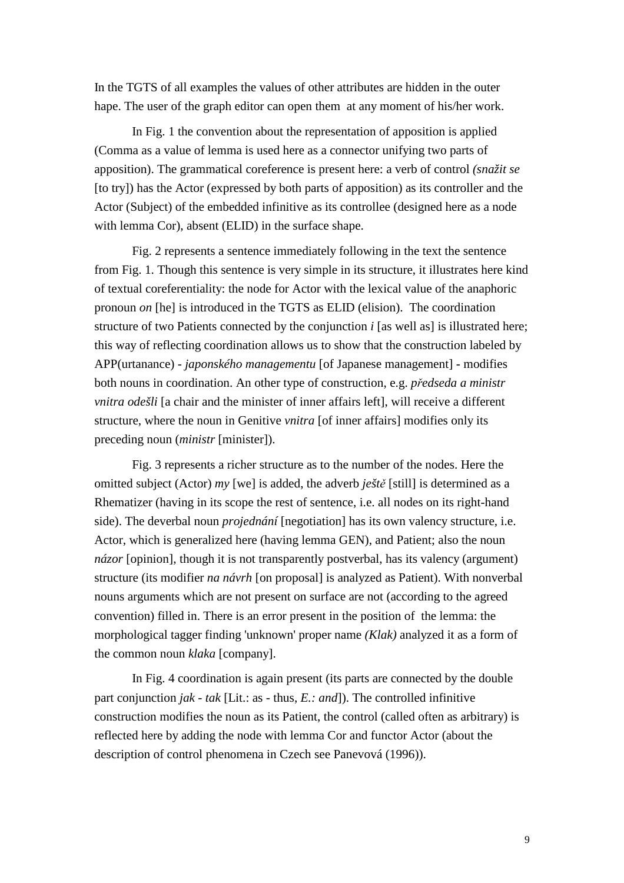In the TGTS of all examples the values of other attributes are hidden in the outer hape. The user of the graph editor can open them at any moment of his/her work.

In Fig. 1 the convention about the representation of apposition is applied (Comma as a value of lemma is used here as a connector unifying two parts of apposition). The grammatical coreference is present here: a verb of control *(snažit se*  [to try]) has the Actor (expressed by both parts of apposition) as its controller and the Actor (Subject) of the embedded infinitive as its controllee (designed here as a node with lemma Cor), absent (ELID) in the surface shape.

Fig. 2 represents a sentence immediately following in the text the sentence from Fig. 1. Though this sentence is very simple in its structure, it illustrates here kind of textual coreferentiality: the node for Actor with the lexical value of the anaphoric pronoun *on* [he] is introduced in the TGTS as ELID (elision). The coordination structure of two Patients connected by the conjunction *i* [as well as] is illustrated here; this way of reflecting coordination allows us to show that the construction labeled by APP(urtanance) - *japonského managementu* [of Japanese management] - modifies both nouns in coordination. An other type of construction, e.g. *p*ř*edseda a ministr vnitra odešli* [a chair and the minister of inner affairs left], will receive a different structure, where the noun in Genitive *vnitra* [of inner affairs] modifies only its preceding noun (*ministr* [minister]).

Fig. 3 represents a richer structure as to the number of the nodes. Here the omitted subject (Actor) *my* [we] is added, the adverb *ješt*ě [still] is determined as a Rhematizer (having in its scope the rest of sentence, i.e. all nodes on its right-hand side). The deverbal noun *projednání* [negotiation] has its own valency structure, i.e. Actor, which is generalized here (having lemma GEN), and Patient; also the noun *názor* [opinion], though it is not transparently postverbal, has its valency (argument) structure (its modifier *na návrh* [on proposal] is analyzed as Patient). With nonverbal nouns arguments which are not present on surface are not (according to the agreed convention) filled in. There is an error present in the position of the lemma: the morphological tagger finding 'unknown' proper name *(Klak)* analyzed it as a form of the common noun *klaka* [company].

In Fig. 4 coordination is again present (its parts are connected by the double part conjunction *jak - tak* [Lit.: as - thus, *E.: and*]). The controlled infinitive construction modifies the noun as its Patient, the control (called often as arbitrary) is reflected here by adding the node with lemma Cor and functor Actor (about the description of control phenomena in Czech see Panevová (1996)).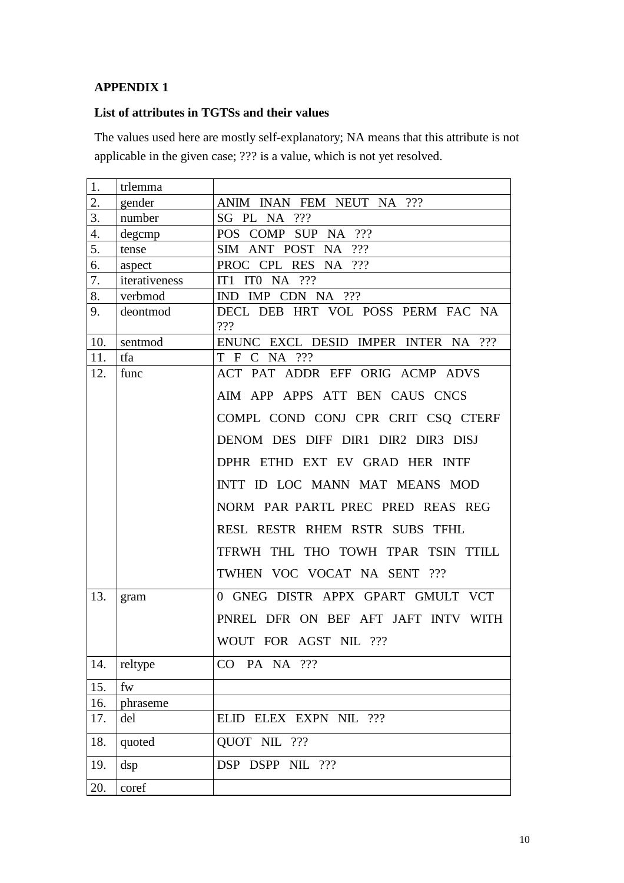## **APPENDIX 1**

# **List of attributes in TGTSs and their values**

The values used here are mostly self-explanatory; NA means that this attribute is not applicable in the given case; ??? is a value, which is not yet resolved.

| 1.  | trlemma       |                                          |
|-----|---------------|------------------------------------------|
| 2.  | gender        | ANIM INAN FEM NEUT NA ???                |
| 3.  | number        | SG PL NA ???                             |
| 4.  | degcmp        | ???<br>POS COMP SUP NA                   |
| 5.  | tense         | ???<br>ANT POST<br><b>SIM</b><br>NA      |
| 6.  | aspect        | PROC CPL RES<br>NA ???                   |
| 7.  | iterativeness | ITO NA $?$ ??<br>IT <sub>1</sub>         |
| 8.  | verbmod       | IMP CDN NA ???<br>IND.                   |
| 9.  | deontmod      | DECL DEB HRT VOL POSS PERM FAC NA<br>??? |
| 10. | sentmod       | ENUNC EXCL DESID IMPER INTER NA ???      |
| 11. | tfa           | T F C<br>NA ???                          |
| 12. | func          | ACT PAT ADDR EFF ORIG ACMP ADVS          |
|     |               | AIM APP APPS ATT BEN CAUS CNCS           |
|     |               | COMPL COND CONJ CPR CRIT CSQ CTERF       |
|     |               | DENOM DES DIFF DIR1 DIR2 DIR3 DISJ       |
|     |               | DPHR ETHD EXT EV GRAD HER INTF           |
|     |               | INTT ID LOC MANN MAT MEANS MOD           |
|     |               | NORM PAR PARTL PREC PRED REAS REG        |
|     |               | RESL RESTR RHEM RSTR SUBS TFHL           |
|     |               | TFRWH THL THO TOWH TPAR TSIN TTILL       |
|     |               | TWHEN VOC VOCAT NA SENT ???              |
| 13. | gram          | 0 GNEG DISTR APPX GPART GMULT VCT        |
|     |               | PNREL DFR ON BEF AFT JAFT INTV WITH      |
|     |               | WOUT FOR AGST NIL ???                    |
| 14. | reltype       | CO PA NA ???                             |
| 15. | fw            |                                          |
| 16. | phraseme      |                                          |
| 17. | del           | ELID ELEX EXPN NIL ???                   |
| 18. | quoted        | QUOT NIL ???                             |
| 19. | dsp           | DSP DSPP NIL ???                         |
| 20. | coref         |                                          |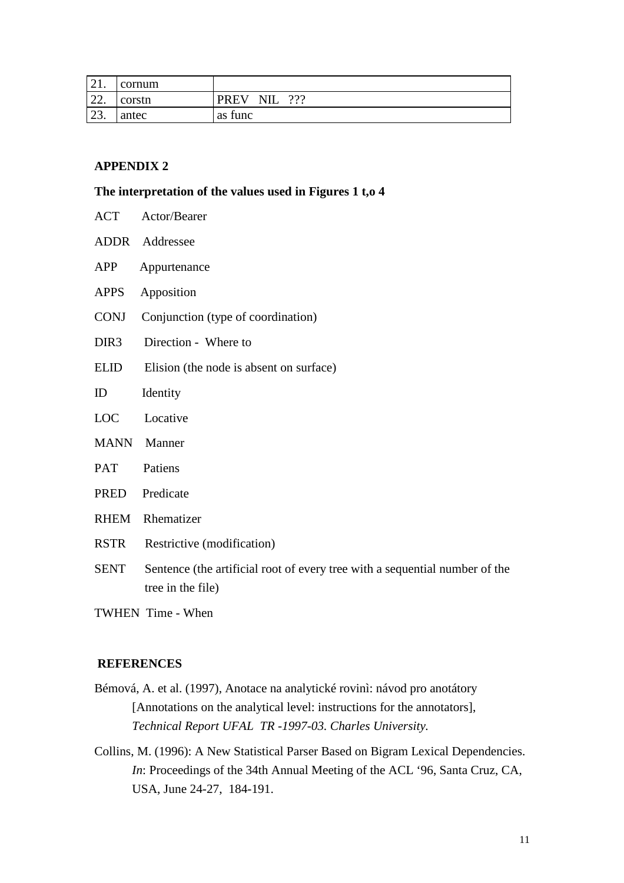| $\bigcap$ 1<br>$\sim$ 4 $\pm$ . | cornum |                                       |
|---------------------------------|--------|---------------------------------------|
| $\overline{\phantom{a}}$<br>44. | corstn | ???<br><b>PREV</b><br><b>NIL</b><br>. |
| $\bigcap$<br>29.                | antec  | as func                               |

### **APPENDIX 2**

## **The interpretation of the values used in Figures 1 t,o 4**

| <b>ACT</b>       | Actor/Bearer                                                                                     |
|------------------|--------------------------------------------------------------------------------------------------|
| ADDR             | Addressee                                                                                        |
| <b>APP</b>       | Appurtenance                                                                                     |
| <b>APPS</b>      | Apposition                                                                                       |
| <b>CONJ</b>      | Conjunction (type of coordination)                                                               |
| DIR <sub>3</sub> | Direction - Where to                                                                             |
| <b>ELID</b>      | Elision (the node is absent on surface)                                                          |
| ID               | Identity                                                                                         |
| <b>LOC</b>       | Locative                                                                                         |
| <b>MANN</b>      | Manner                                                                                           |
| PAT              | Patiens                                                                                          |
| <b>PRED</b>      | Predicate                                                                                        |
| <b>RHEM</b>      | Rhematizer                                                                                       |
| <b>RSTR</b>      | Restrictive (modification)                                                                       |
| <b>SENT</b>      | Sentence (the artificial root of every tree with a sequential number of the<br>tree in the file) |
|                  |                                                                                                  |

TWHEN Time - When

### **REFERENCES**

- Bémová, A. et al. (1997), Anotace na analytické rovinì: návod pro anotátory [Annotations on the analytical level: instructions for the annotators], *Technical Report UFAL TR -1997-03. Charles University.*
- Collins, M. (1996): A New Statistical Parser Based on Bigram Lexical Dependencies. *In*: Proceedings of the 34th Annual Meeting of the ACL '96, Santa Cruz, CA, USA, June 24-27, 184-191.